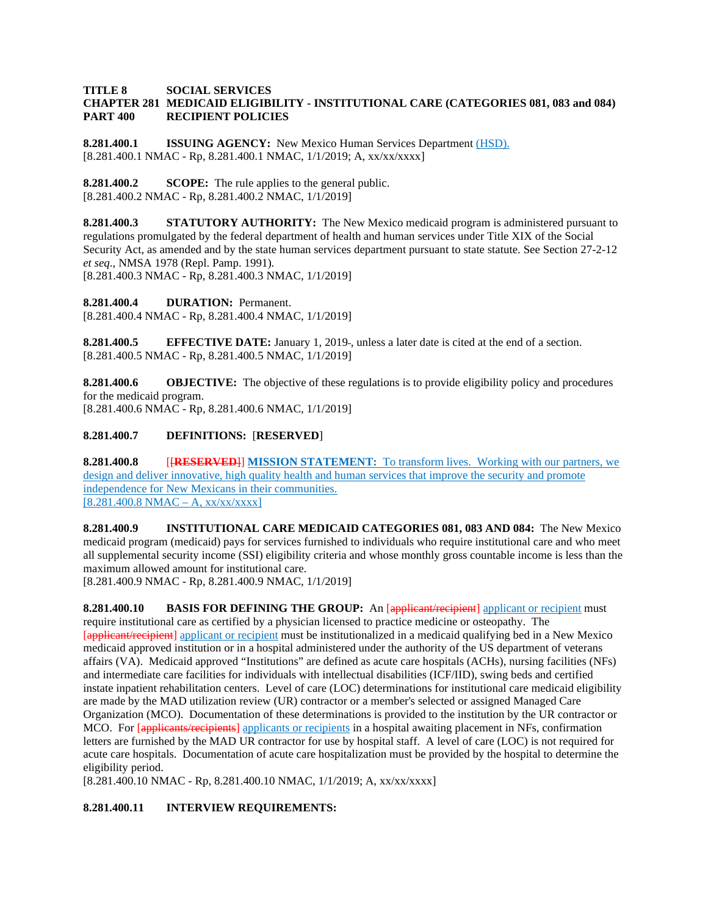#### **TITLE 8 SOCIAL SERVICES CHAPTER 281 MEDICAID ELIGIBILITY - INSTITUTIONAL CARE (CATEGORIES 081, 083 and 084) PART 400 RECIPIENT POLICIES**

**8.281.400.1 ISSUING AGENCY:** New Mexico Human Services Department (HSD). [8.281.400.1 NMAC - Rp, 8.281.400.1 NMAC, 1/1/2019; A, xx/xx/xxxx]

**8.281.400.2 SCOPE:** The rule applies to the general public. [8.281.400.2 NMAC - Rp, 8.281.400.2 NMAC, 1/1/2019]

**8.281.400.3 STATUTORY AUTHORITY:** The New Mexico medicaid program is administered pursuant to regulations promulgated by the federal department of health and human services under Title XIX of the Social Security Act, as amended and by the state human services department pursuant to state statute. See Section 27-2-12 *et seq*., NMSA 1978 (Repl. Pamp. 1991). [8.281.400.3 NMAC - Rp, 8.281.400.3 NMAC, 1/1/2019]

**8.281.400.4 DURATION:** Permanent. [8.281.400.4 NMAC - Rp, 8.281.400.4 NMAC, 1/1/2019]

**8.281.400.5 EFFECTIVE DATE:** January 1, 2019-, unless a later date is cited at the end of a section. [8.281.400.5 NMAC - Rp, 8.281.400.5 NMAC, 1/1/2019]

**8.281.400.6 OBJECTIVE:** The objective of these regulations is to provide eligibility policy and procedures for the medicaid program. [8.281.400.6 NMAC - Rp, 8.281.400.6 NMAC, 1/1/2019]

**8.281.400.7 DEFINITIONS:** [**RESERVED**]

**8.281.400.8** [[**RESERVED**]] **MISSION STATEMENT:** To transform lives. Working with our partners, we design and deliver innovative, high quality health and human services that improve the security and promote independence for New Mexicans in their communities.  $[8.281.400.8 \text{ NMAC} - \text{A}, \frac{xx}{xx} \times xx]$ 

**8.281.400.9 INSTITUTIONAL CARE MEDICAID CATEGORIES 081, 083 AND 084:** The New Mexico medicaid program (medicaid) pays for services furnished to individuals who require institutional care and who meet all supplemental security income (SSI) eligibility criteria and whose monthly gross countable income is less than the maximum allowed amount for institutional care.

[8.281.400.9 NMAC - Rp, 8.281.400.9 NMAC, 1/1/2019]

**8.281.400.10 BASIS FOR DEFINING THE GROUP:** An [applicant/recipient] applicant or recipient must require institutional care as certified by a physician licensed to practice medicine or osteopathy. The [applicant/recipient] applicant or recipient must be institutionalized in a medicaid qualifying bed in a New Mexico medicaid approved institution or in a hospital administered under the authority of the US department of veterans affairs (VA). Medicaid approved "Institutions" are defined as acute care hospitals (ACHs), nursing facilities (NFs) and intermediate care facilities for individuals with intellectual disabilities (ICF/IID), swing beds and certified instate inpatient rehabilitation centers. Level of care (LOC) determinations for institutional care medicaid eligibility are made by the MAD utilization review (UR) contractor or a member's selected or assigned Managed Care Organization (MCO). Documentation of these determinations is provided to the institution by the UR contractor or MCO. For [applicants/recipients] applicants or recipients in a hospital awaiting placement in NFs, confirmation letters are furnished by the MAD UR contractor for use by hospital staff. A level of care (LOC) is not required for acute care hospitals. Documentation of acute care hospitalization must be provided by the hospital to determine the eligibility period.

[8.281.400.10 NMAC - Rp, 8.281.400.10 NMAC, 1/1/2019; A, xx/xx/xxxx]

# **8.281.400.11 INTERVIEW REQUIREMENTS:**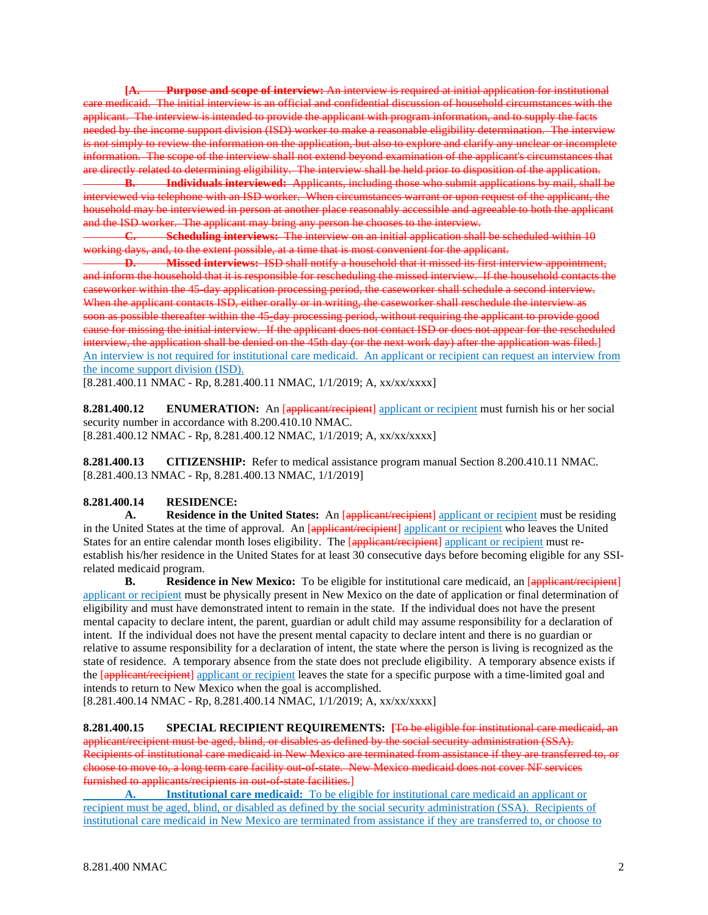**[A. Purpose and scope of interview:** An interview is required at initial application for institutional care medicaid. The initial interview is an official and confidential discussion of household circumstances with the applicant. The interview is intended to provide the applicant with program information, and to supply the facts needed by the income support division (ISD) worker to make a reasonable eligibility determination. The interview is not simply to review the information on the application, but also to explore and clarify any unclear or incomplete information. The scope of the interview shall not extend beyond examination of the applicant's circumstances that are directly related to determining eligibility. The interview shall be held prior to disposition of the application.

**B. Individuals interviewed:** Applicants, including those who submit applications by mail, shall be interviewed via telephone with an ISD worker. When circumstances warrant or upon request of the applicant, the household may be interviewed in person at another place reasonably accessible and agreeable to both the applicant and the ISD worker. The applicant may bring any person he chooses to the interview.

**C. Scheduling interviews:** The interview on an initial application shall be scheduled within 10 working days, and, to the extent possible, at a time that is most convenient for the applicant.

**D. Missed interviews:** ISD shall notify a household that it missed its first interview appointment, and inform the household that it is responsible for rescheduling the missed interview. If the household contacts the caseworker within the 45-day application processing period, the caseworker shall schedule a second interview. When the applicant contacts ISD, either orally or in writing, the caseworker shall reschedule the interview as soon as possible thereafter within the 45-day processing period, without requiring the applicant to provide good cause for missing the initial interview. If the applicant does not contact ISD or does not appear for the rescheduled interview, the application shall be denied on the 45th day (or the next work day) after the application was filed.] An interview is not required for institutional care medicaid. An applicant or recipient can request an interview from the income support division (ISD).

[8.281.400.11 NMAC - Rp, 8.281.400.11 NMAC, 1/1/2019; A, xx/xx/xxxx]

**8.281.400.12 ENUMERATION:** An [applicant/recipient] applicant or recipient must furnish his or her social security number in accordance with 8.200.410.10 NMAC. [8.281.400.12 NMAC - Rp, 8.281.400.12 NMAC, 1/1/2019; A, xx/xx/xxxx]

**8.281.400.13 CITIZENSHIP:** Refer to medical assistance program manual Section 8.200.410.11 NMAC. [8.281.400.13 NMAC - Rp, 8.281.400.13 NMAC, 1/1/2019]

## **8.281.400.14 RESIDENCE:**

A. **Residence in the United States:** An [applicant/recipient] applicant or recipient must be residing in the United States at the time of approval. An [applicant/recipient] applicant or recipient who leaves the United States for an entire calendar month loses eligibility. The [applicant/recipient] applicant or recipient must reestablish his/her residence in the United States for at least 30 consecutive days before becoming eligible for any SSIrelated medicaid program.

**B. Residence in New Mexico:** To be eligible for institutional care medicaid, an  $\frac{1}{\text{appliednt/recipient}}$ applicant or recipient must be physically present in New Mexico on the date of application or final determination of eligibility and must have demonstrated intent to remain in the state. If the individual does not have the present mental capacity to declare intent, the parent, guardian or adult child may assume responsibility for a declaration of intent. If the individual does not have the present mental capacity to declare intent and there is no guardian or relative to assume responsibility for a declaration of intent, the state where the person is living is recognized as the state of residence. A temporary absence from the state does not preclude eligibility. A temporary absence exists if the [applicant/recipient] applicant or recipient leaves the state for a specific purpose with a time-limited goal and intends to return to New Mexico when the goal is accomplished.

[8.281.400.14 NMAC - Rp, 8.281.400.14 NMAC, 1/1/2019; A, xx/xx/xxxx]

**8.281.400.15 SPECIAL RECIPIENT REQUIREMENTS: [**To be eligible for institutional care medicaid, an applicant/recipient must be aged, blind, or disables as defined by the social security administration (SSA). Recipients of institutional care medicaid in New Mexico are terminated from assistance if they are transferred to, or choose to move to, a long term care facility out-of-state. New Mexico medicaid does not cover NF services furnished to applicants/recipients in out-of-state facilities.]

**A. Institutional care medicaid:** To be eligible for institutional care medicaid an applicant or recipient must be aged, blind, or disabled as defined by the social security administration (SSA). Recipients of institutional care medicaid in New Mexico are terminated from assistance if they are transferred to, or choose to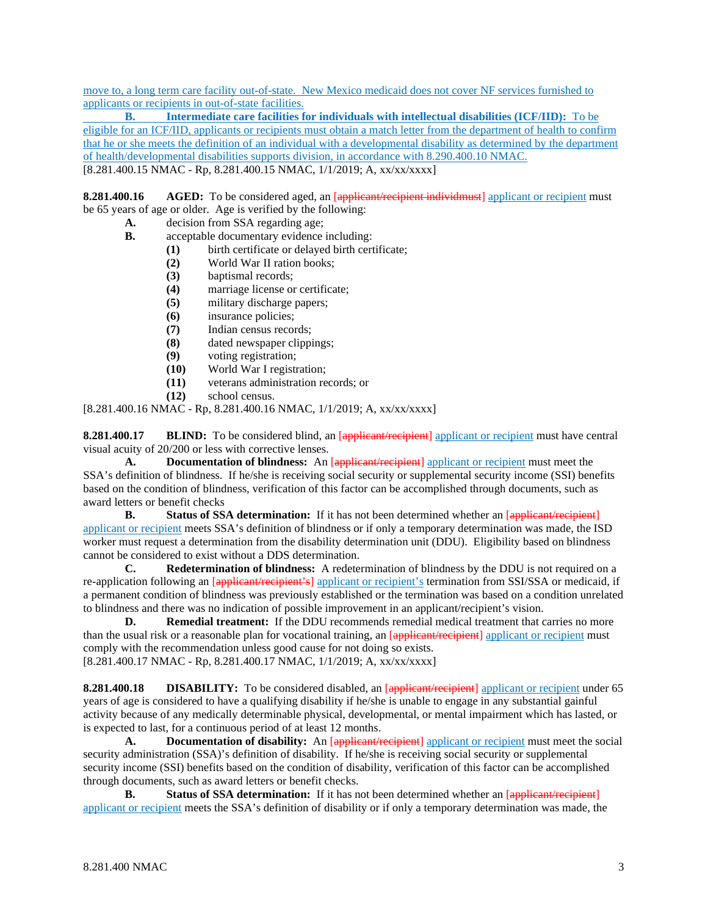move to, a long term care facility out-of-state. New Mexico medicaid does not cover NF services furnished to applicants or recipients in out-of-state facilities.

**B. Intermediate care facilities for individuals with intellectual disabilities (ICF/IID):** To be eligible for an ICF/IID, applicants or recipients must obtain a match letter from the department of health to confirm that he or she meets the definition of an individual with a developmental disability as determined by the department of health/developmental disabilities supports division, in accordance with 8.290.400.10 NMAC. [8.281.400.15 NMAC - Rp, 8.281.400.15 NMAC, 1/1/2019; A, xx/xx/xxxx]

**8.281.400.16 AGED:** To be considered aged, an [applicant/recipient individmust] applicant or recipient must be 65 years of age or older. Age is verified by the following:

- **A.** decision from SSA regarding age;
- **B.** acceptable documentary evidence including:
	- **(1)** birth certificate or delayed birth certificate;
	- **(2)** World War II ration books;
	- **(3)** baptismal records;
	- **(4)** marriage license or certificate;
	- **(5)** military discharge papers;
	- **(6)** insurance policies;
	- **(7)** Indian census records;
	- **(8)** dated newspaper clippings;
	- voting registration;
	- **(10)** World War I registration;
	- **(11)** veterans administration records; or
	- **(12)** school census.

[8.281.400.16 NMAC - Rp, 8.281.400.16 NMAC, 1/1/2019; A, xx/xx/xxxx]

**8.281.400.17 BLIND:** To be considered blind, an [applicant/recipient] applicant or recipient must have central visual acuity of 20/200 or less with corrective lenses.

A. **Documentation of blindness:** An [applicant/recipient] applicant or recipient must meet the SSA's definition of blindness. If he/she is receiving social security or supplemental security income (SSI) benefits based on the condition of blindness, verification of this factor can be accomplished through documents, such as award letters or benefit checks

**B. Status of SSA determination:** If it has not been determined whether an [applicant/recipient] applicant or recipient meets SSA's definition of blindness or if only a temporary determination was made, the ISD worker must request a determination from the disability determination unit (DDU). Eligibility based on blindness cannot be considered to exist without a DDS determination.

**C. Redetermination of blindness:** A redetermination of blindness by the DDU is not required on a re-application following an [applicant/recipient's] applicant or recipient's termination from SSI/SSA or medicaid, if a permanent condition of blindness was previously established or the termination was based on a condition unrelated to blindness and there was no indication of possible improvement in an applicant/recipient's vision.

**D. Remedial treatment:** If the DDU recommends remedial medical treatment that carries no more than the usual risk or a reasonable plan for vocational training, an [applicant/recipient] applicant or recipient must comply with the recommendation unless good cause for not doing so exists. [8.281.400.17 NMAC - Rp, 8.281.400.17 NMAC, 1/1/2019; A, xx/xx/xxxx]

**8.281.400.18 DISABILITY:** To be considered disabled, an [applicant/recipient] applicant or recipient under 65 years of age is considered to have a qualifying disability if he/she is unable to engage in any substantial gainful activity because of any medically determinable physical, developmental, or mental impairment which has lasted, or is expected to last, for a continuous period of at least 12 months.

A. **Documentation of disability:** An [applicant/recipient] applicant or recipient must meet the social security administration (SSA)'s definition of disability. If he/she is receiving social security or supplemental security income (SSI) benefits based on the condition of disability, verification of this factor can be accomplished through documents, such as award letters or benefit checks.

**B. Status of SSA determination:** If it has not been determined whether an [applicant/recipient] applicant or recipient meets the SSA's definition of disability or if only a temporary determination was made, the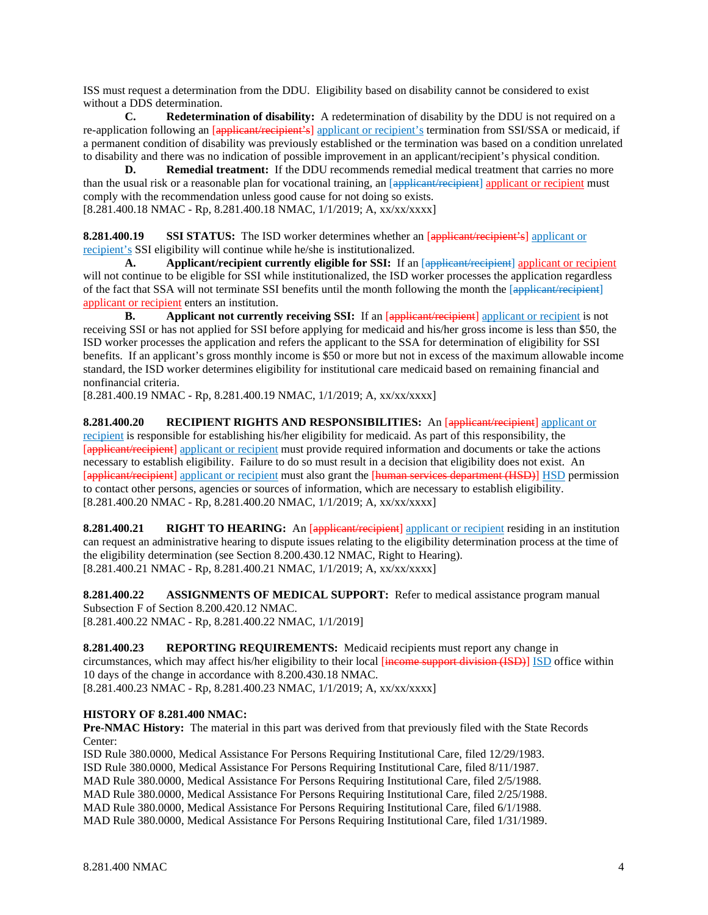ISS must request a determination from the DDU. Eligibility based on disability cannot be considered to exist without a DDS determination.

**C. Redetermination of disability:** A redetermination of disability by the DDU is not required on a re-application following an [applicant/recipient's] applicant or recipient's termination from SSI/SSA or medicaid, if a permanent condition of disability was previously established or the termination was based on a condition unrelated to disability and there was no indication of possible improvement in an applicant/recipient's physical condition.

**D. Remedial treatment:** If the DDU recommends remedial medical treatment that carries no more than the usual risk or a reasonable plan for vocational training, an [applicant/recipient] applicant or recipient must comply with the recommendation unless good cause for not doing so exists. [8.281.400.18 NMAC - Rp, 8.281.400.18 NMAC, 1/1/2019; A, xx/xx/xxxx]

**8.281.400.19 SSI STATUS:** The ISD worker determines whether an [applicant/recipient's] applicant or recipient's SSI eligibility will continue while he/she is institutionalized.

**A. Applicant/recipient currently eligible for SSI:** If an [applicant/recipient] applicant or recipient will not continue to be eligible for SSI while institutionalized, the ISD worker processes the application regardless of the fact that SSA will not terminate SSI benefits until the month following the month the [applicant/recipient] applicant or recipient enters an institution.

**B.** Applicant not currently receiving SSI: If an [applicant/recipient] applicant or recipient is not receiving SSI or has not applied for SSI before applying for medicaid and his/her gross income is less than \$50, the ISD worker processes the application and refers the applicant to the SSA for determination of eligibility for SSI benefits. If an applicant's gross monthly income is \$50 or more but not in excess of the maximum allowable income standard, the ISD worker determines eligibility for institutional care medicaid based on remaining financial and nonfinancial criteria.

[8.281.400.19 NMAC - Rp, 8.281.400.19 NMAC, 1/1/2019; A, xx/xx/xxxx]

**8.281.400.20 RECIPIENT RIGHTS AND RESPONSIBILITIES:** An [applicant/recipient] applicant or recipient is responsible for establishing his/her eligibility for medicaid. As part of this responsibility, the [applicant/recipient] applicant or recipient must provide required information and documents or take the actions necessary to establish eligibility. Failure to do so must result in a decision that eligibility does not exist. An [applicant/recipient] applicant or recipient must also grant the [human services department (HSD)] HSD permission to contact other persons, agencies or sources of information, which are necessary to establish eligibility. [8.281.400.20 NMAC - Rp, 8.281.400.20 NMAC, 1/1/2019; A, xx/xx/xxxx]

**8.281.400.21 RIGHT TO HEARING:** An [applicant/recipient] applicant or recipient residing in an institution can request an administrative hearing to dispute issues relating to the eligibility determination process at the time of the eligibility determination (see Section 8.200.430.12 NMAC, Right to Hearing). [8.281.400.21 NMAC - Rp, 8.281.400.21 NMAC, 1/1/2019; A, xx/xx/xxxx]

**8.281.400.22 ASSIGNMENTS OF MEDICAL SUPPORT:** Refer to medical assistance program manual Subsection F of Section 8.200.420.12 NMAC. [8.281.400.22 NMAC - Rp, 8.281.400.22 NMAC, 1/1/2019]

**8.281.400.23 REPORTING REQUIREMENTS:** Medicaid recipients must report any change in circumstances, which may affect his/her eligibility to their local [income support division (ISD)] ISD office within 10 days of the change in accordance with 8.200.430.18 NMAC. [8.281.400.23 NMAC - Rp, 8.281.400.23 NMAC, 1/1/2019; A, xx/xx/xxxx]

## **HISTORY OF 8.281.400 NMAC:**

**Pre-NMAC History:** The material in this part was derived from that previously filed with the State Records Center:

ISD Rule 380.0000, Medical Assistance For Persons Requiring Institutional Care, filed 12/29/1983. ISD Rule 380.0000, Medical Assistance For Persons Requiring Institutional Care, filed 8/11/1987. MAD Rule 380.0000, Medical Assistance For Persons Requiring Institutional Care, filed 2/5/1988. MAD Rule 380.0000, Medical Assistance For Persons Requiring Institutional Care, filed 2/25/1988. MAD Rule 380.0000, Medical Assistance For Persons Requiring Institutional Care, filed 6/1/1988. MAD Rule 380.0000, Medical Assistance For Persons Requiring Institutional Care, filed 1/31/1989.